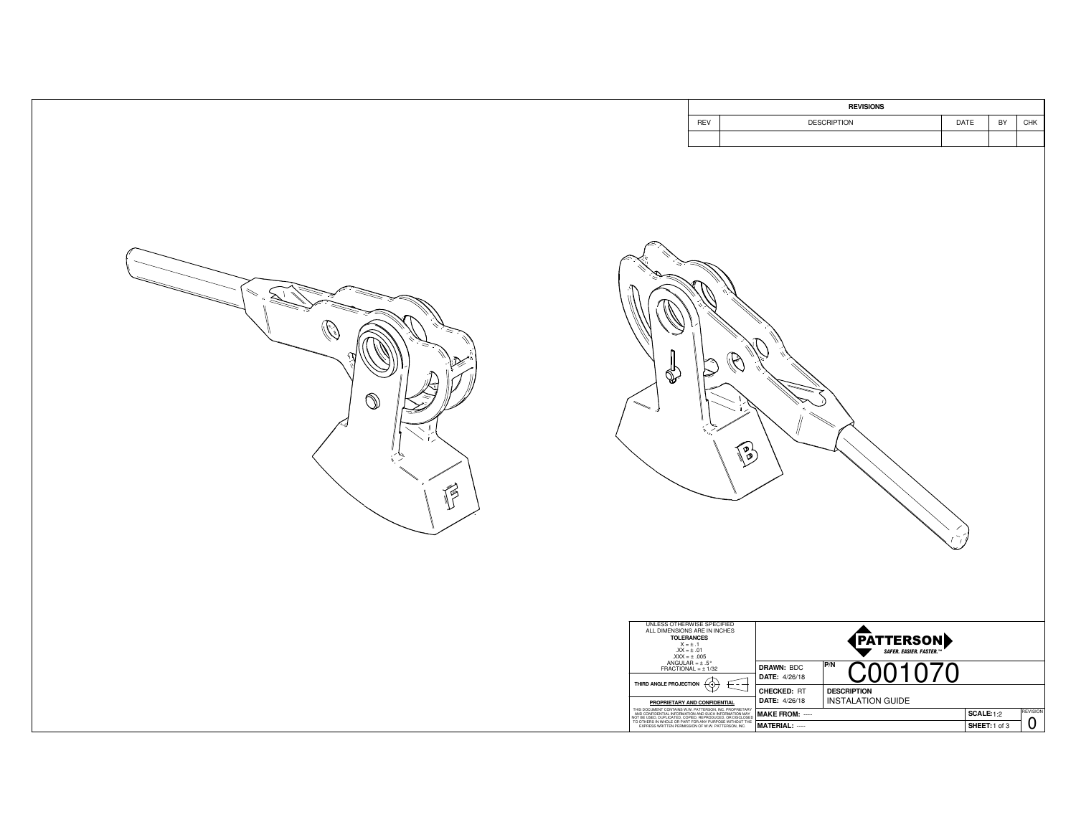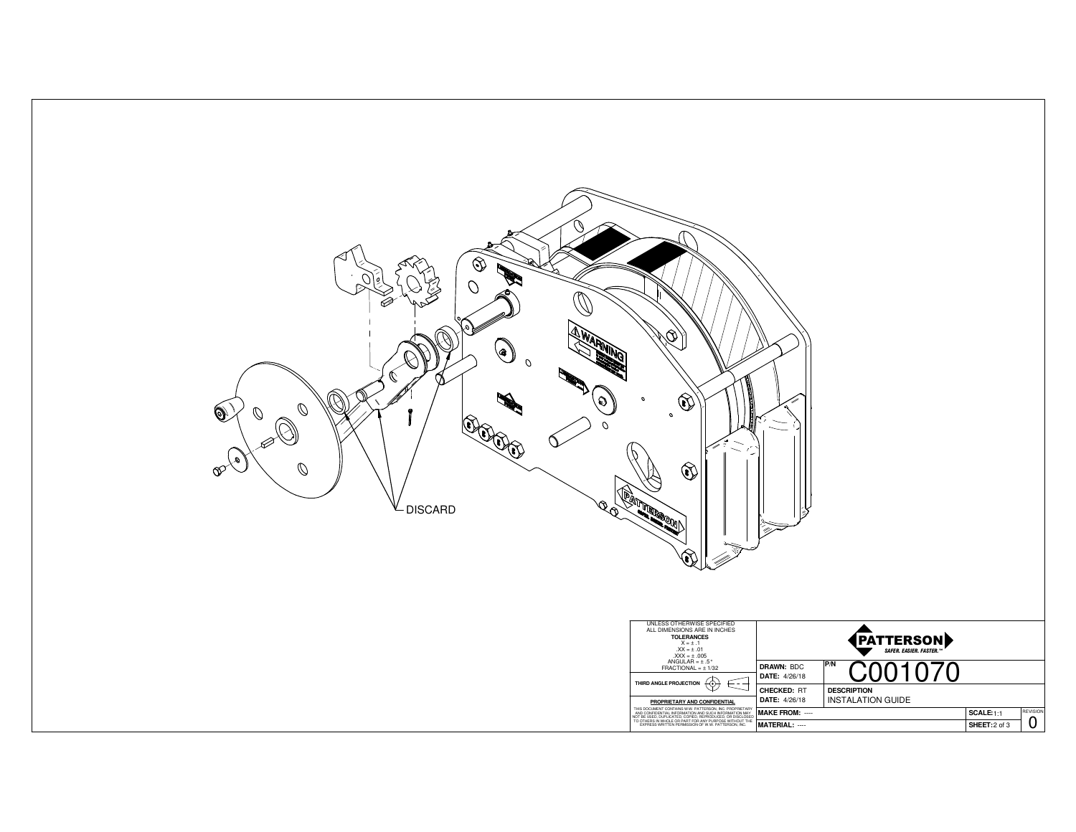